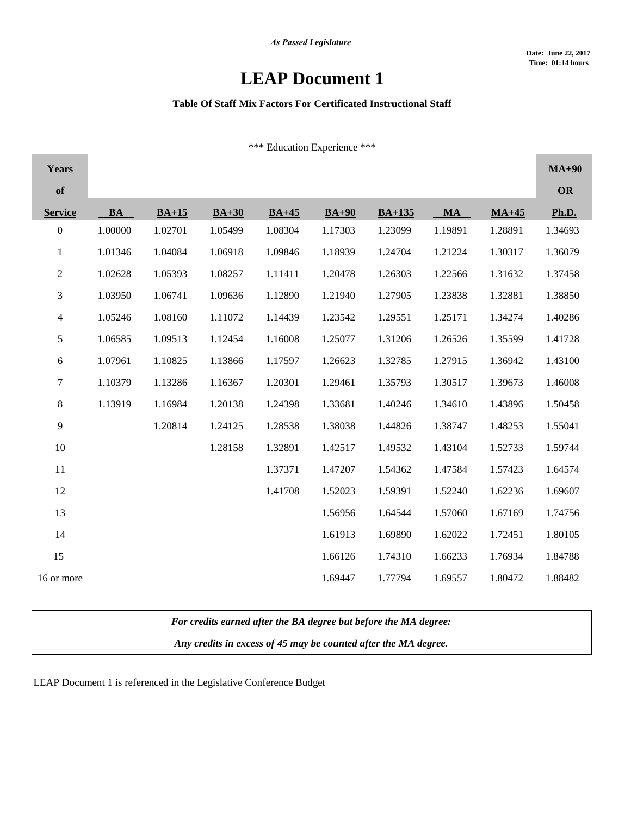## **LEAP Document 1**

## **Table Of Staff Mix Factors For Certificated Instructional Staff**

\*\*\* Education Experience \*\*\*

| <b>Years</b>             |         |         |         |         |         |          |         |         | $MA+90$      |
|--------------------------|---------|---------|---------|---------|---------|----------|---------|---------|--------------|
| of                       |         |         |         |         |         |          |         |         | OR           |
| <b>Service</b>           | BA      | $BA+15$ | $BA+30$ | $BA+45$ | $BA+90$ | $BA+135$ | $M_A$   | $MA+45$ | <b>Ph.D.</b> |
| $\boldsymbol{0}$         | 1.00000 | 1.02701 | 1.05499 | 1.08304 | 1.17303 | 1.23099  | 1.19891 | 1.28891 | 1.34693      |
| $\mathbf{1}$             | 1.01346 | 1.04084 | 1.06918 | 1.09846 | 1.18939 | 1.24704  | 1.21224 | 1.30317 | 1.36079      |
| $\overline{2}$           | 1.02628 | 1.05393 | 1.08257 | 1.11411 | 1.20478 | 1.26303  | 1.22566 | 1.31632 | 1.37458      |
| 3                        | 1.03950 | 1.06741 | 1.09636 | 1.12890 | 1.21940 | 1.27905  | 1.23838 | 1.32881 | 1.38850      |
| $\overline{\mathcal{A}}$ | 1.05246 | 1.08160 | 1.11072 | 1.14439 | 1.23542 | 1.29551  | 1.25171 | 1.34274 | 1.40286      |
| 5                        | 1.06585 | 1.09513 | 1.12454 | 1.16008 | 1.25077 | 1.31206  | 1.26526 | 1.35599 | 1.41728      |
| 6                        | 1.07961 | 1.10825 | 1.13866 | 1.17597 | 1.26623 | 1.32785  | 1.27915 | 1.36942 | 1.43100      |
| 7                        | 1.10379 | 1.13286 | 1.16367 | 1.20301 | 1.29461 | 1.35793  | 1.30517 | 1.39673 | 1.46008      |
| 8                        | 1.13919 | 1.16984 | 1.20138 | 1.24398 | 1.33681 | 1.40246  | 1.34610 | 1.43896 | 1.50458      |
| 9                        |         | 1.20814 | 1.24125 | 1.28538 | 1.38038 | 1.44826  | 1.38747 | 1.48253 | 1.55041      |
| 10                       |         |         | 1.28158 | 1.32891 | 1.42517 | 1.49532  | 1.43104 | 1.52733 | 1.59744      |
| 11                       |         |         |         | 1.37371 | 1.47207 | 1.54362  | 1.47584 | 1.57423 | 1.64574      |
| 12                       |         |         |         | 1.41708 | 1.52023 | 1.59391  | 1.52240 | 1.62236 | 1.69607      |
| 13                       |         |         |         |         | 1.56956 | 1.64544  | 1.57060 | 1.67169 | 1.74756      |
| 14                       |         |         |         |         | 1.61913 | 1.69890  | 1.62022 | 1.72451 | 1.80105      |
| 15                       |         |         |         |         | 1.66126 | 1.74310  | 1.66233 | 1.76934 | 1.84788      |
| 16 or more               |         |         |         |         | 1.69447 | 1.77794  | 1.69557 | 1.80472 | 1.88482      |

*For credits earned after the BA degree but before the MA degree:*

*Any credits in excess of 45 may be counted after the MA degree.*

LEAP Document 1 is referenced in the Legislative Conference Budget